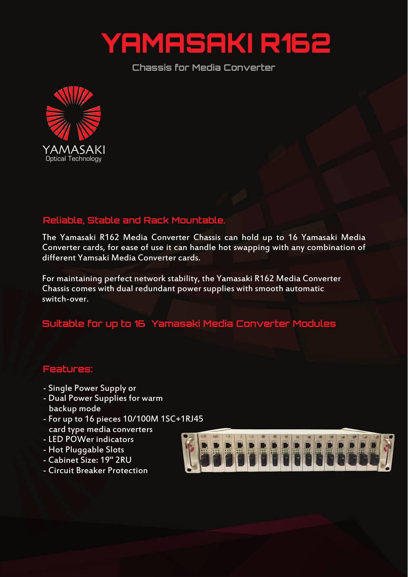

**Chassis for Media Converter**



## **Reliable, Stable and Rack Mountable.**

The Yamasaki R162 Media Converter Chassis can hold up to 16 Yamasaki Media Converter cards, for ease of use it can handle hot swapping with any combination of different Yamsaki Media Converter cards.

For maintaining perfect network stability, the Yamasaki R162 Media Converter Chassis comes with dual redundant power supplies with smooth automatic switch-over.

## **Suitable for up to 16 Yamasaki Media Converter Modules**

## **Features:**

- Single Power Supply or
- Dual Power Supplies for warm backup mode
- For up to 16 pieces 10/100M 1SC+1RJ45 card type media converters
- LED POWer indicators
- Hot Pluggable Slots
- Cabinet Size: 19" 2RU
- Circuit Breaker Protection